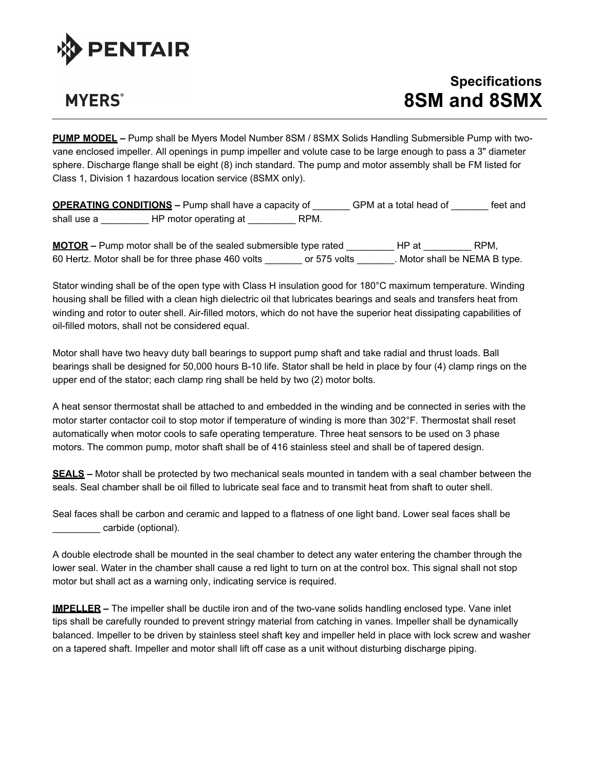

## **MYERS**<sup>®</sup>

## **Specifications 8SM and 8SMX**

**PUMP MODEL –** Pump shall be Myers Model Number 8SM / 8SMX Solids Handling Submersible Pump with twovane enclosed impeller. All openings in pump impeller and volute case to be large enough to pass a 3" diameter sphere. Discharge flange shall be eight (8) inch standard. The pump and motor assembly shall be FM listed for Class 1, Division 1 hazardous location service (8SMX only).

**OPERATING CONDITIONS –** Pump shall have a capacity of \_\_\_\_\_\_\_ GPM at a total head of \_\_\_\_\_\_\_ feet and shall use a \_\_\_\_\_\_\_\_\_\_\_\_ HP motor operating at \_\_\_\_\_\_\_\_\_\_\_\_ RPM.

**MOTOR –** Pump motor shall be of the sealed submersible type rated \_\_\_\_\_\_\_\_\_ HP at \_\_\_\_\_\_\_\_\_ RPM, 60 Hertz. Motor shall be for three phase 460 volts or 575 volts Motor shall be NEMA B type.

Stator winding shall be of the open type with Class H insulation good for 180°C maximum temperature. Winding housing shall be filled with a clean high dielectric oil that lubricates bearings and seals and transfers heat from winding and rotor to outer shell. Air-filled motors, which do not have the superior heat dissipating capabilities of oil-filled motors, shall not be considered equal.

Motor shall have two heavy duty ball bearings to support pump shaft and take radial and thrust loads. Ball bearings shall be designed for 50,000 hours B-10 life. Stator shall be held in place by four (4) clamp rings on the upper end of the stator; each clamp ring shall be held by two (2) motor bolts.

A heat sensor thermostat shall be attached to and embedded in the winding and be connected in series with the motor starter contactor coil to stop motor if temperature of winding is more than 302°F. Thermostat shall reset automatically when motor cools to safe operating temperature. Three heat sensors to be used on 3 phase motors. The common pump, motor shaft shall be of 416 stainless steel and shall be of tapered design.

**SEALS –** Motor shall be protected by two mechanical seals mounted in tandem with a seal chamber between the seals. Seal chamber shall be oil filled to lubricate seal face and to transmit heat from shaft to outer shell.

Seal faces shall be carbon and ceramic and lapped to a flatness of one light band. Lower seal faces shall be carbide (optional).

A double electrode shall be mounted in the seal chamber to detect any water entering the chamber through the lower seal. Water in the chamber shall cause a red light to turn on at the control box. This signal shall not stop motor but shall act as a warning only, indicating service is required.

**IMPELLER –** The impeller shall be ductile iron and of the two-vane solids handling enclosed type. Vane inlet tips shall be carefully rounded to prevent stringy material from catching in vanes. Impeller shall be dynamically balanced. Impeller to be driven by stainless steel shaft key and impeller held in place with lock screw and washer on a tapered shaft. Impeller and motor shall lift off case as a unit without disturbing discharge piping.